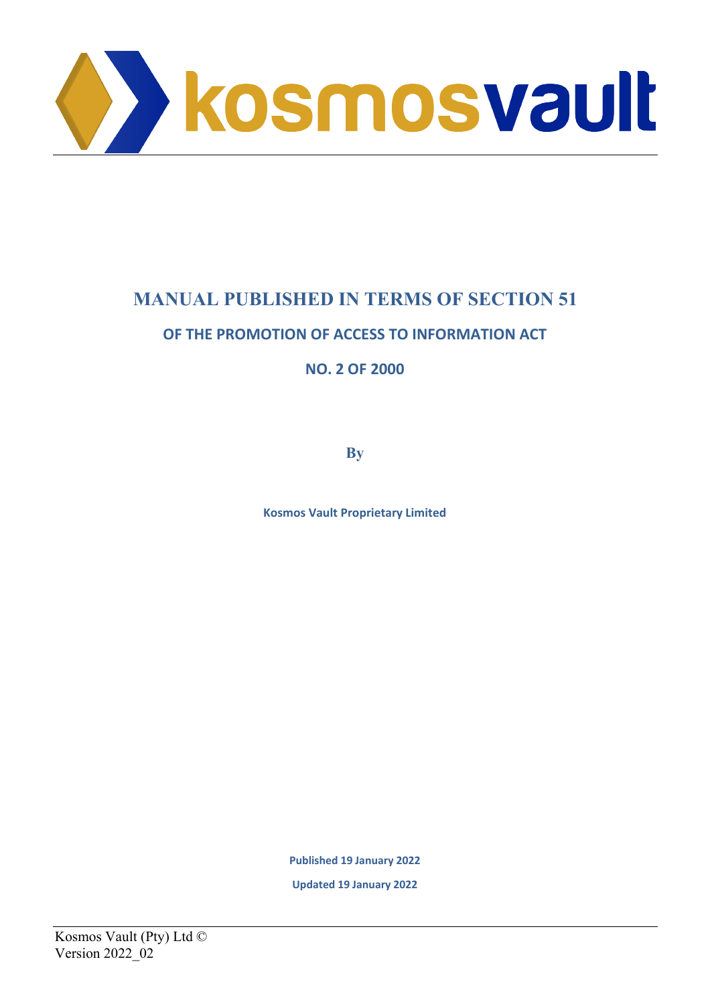

# **MANUAL PUBLISHED IN TERMS OF SECTION 51**

## **OF THE PROMOTION OF ACCESS TO INFORMATION ACT**

**NO. 2 OF 2000**

**By**

**Kosmos Vault Proprietary Limited**

**Published 19 January 2022**

**Updated 19 January 2022**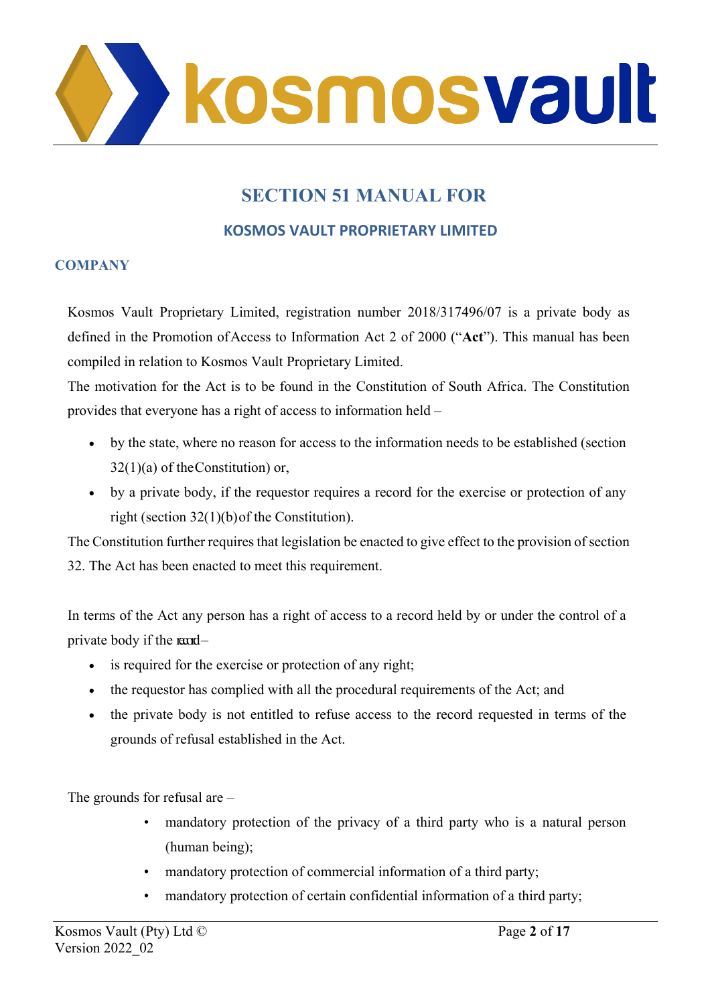

# **SECTION 51 MANUAL FOR**

## **KOSMOS VAULT PROPRIETARY LIMITED**

#### **COMPANY**

Kosmos Vault Proprietary Limited, registration number 2018/317496/07 is a private body as defined in the Promotion of Access to Information Act 2 of 2000 ("**Act**"). This manual has been compiled in relation to Kosmos Vault Proprietary Limited.

The motivation for the Act is to be found in the Constitution of South Africa. The Constitution provides that everyone has a right of access to information held –

- by the state, where no reason for access to the information needs to be established (section  $32(1)(a)$  of the Constitution) or,
- by a private body, if the requestor requires a record for the exercise or protection of any right (section 32(1)(b) of the Constitution).

The Constitution further requires that legislation be enacted to give effect to the provision of section 32. The Act has been enacted to meet this requirement.

In terms of the Act any person has a right of access to a record held by or under the control of a private body if the  $\text{mod}-$ 

- is required for the exercise or protection of any right;
- the requestor has complied with all the procedural requirements of the Act; and
- the private body is not entitled to refuse access to the record requested in terms of the grounds of refusal established in the Act.

The grounds for refusal are –

- mandatory protection of the privacy of a third party who is a natural person (human being);
- mandatory protection of commercial information of a third party;
- mandatory protection of certain confidential information of a third party;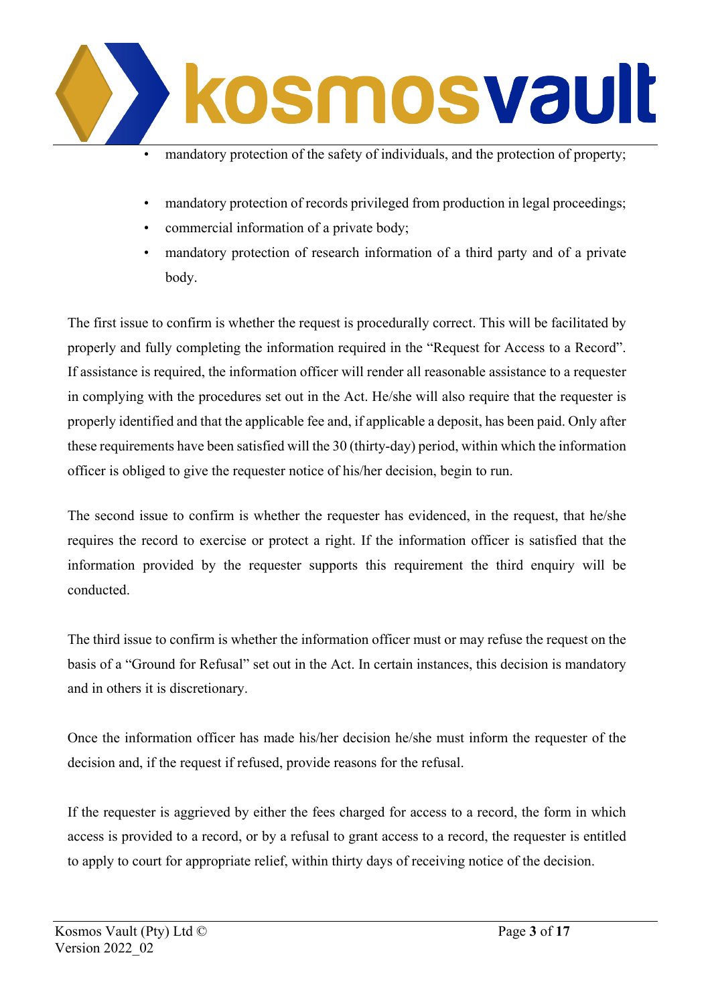

- mandatory protection of the safety of individuals, and the protection of property;
- mandatory protection of records privileged from production in legal proceedings;
- commercial information of a private body;
- mandatory protection of research information of a third party and of a private body.

The first issue to confirm is whether the request is procedurally correct. This will be facilitated by properly and fully completing the information required in the "Request for Access to a Record". If assistance is required, the information officer will render all reasonable assistance to a requester in complying with the procedures set out in the Act. He/she will also require that the requester is properly identified and that the applicable fee and, if applicable a deposit, has been paid. Only after these requirements have been satisfied will the 30 (thirty-day) period, within which the information officer is obliged to give the requester notice of his/her decision, begin to run.

The second issue to confirm is whether the requester has evidenced, in the request, that he/she requires the record to exercise or protect a right. If the information officer is satisfied that the information provided by the requester supports this requirement the third enquiry will be conducted.

The third issue to confirm is whether the information officer must or may refuse the request on the basis of a "Ground for Refusal" set out in the Act. In certain instances, this decision is mandatory and in others it is discretionary.

Once the information officer has made his/her decision he/she must inform the requester of the decision and, if the request if refused, provide reasons for the refusal.

If the requester is aggrieved by either the fees charged for access to a record, the form in which access is provided to a record, or by a refusal to grant access to a record, the requester is entitled to apply to court for appropriate relief, within thirty days of receiving notice of the decision.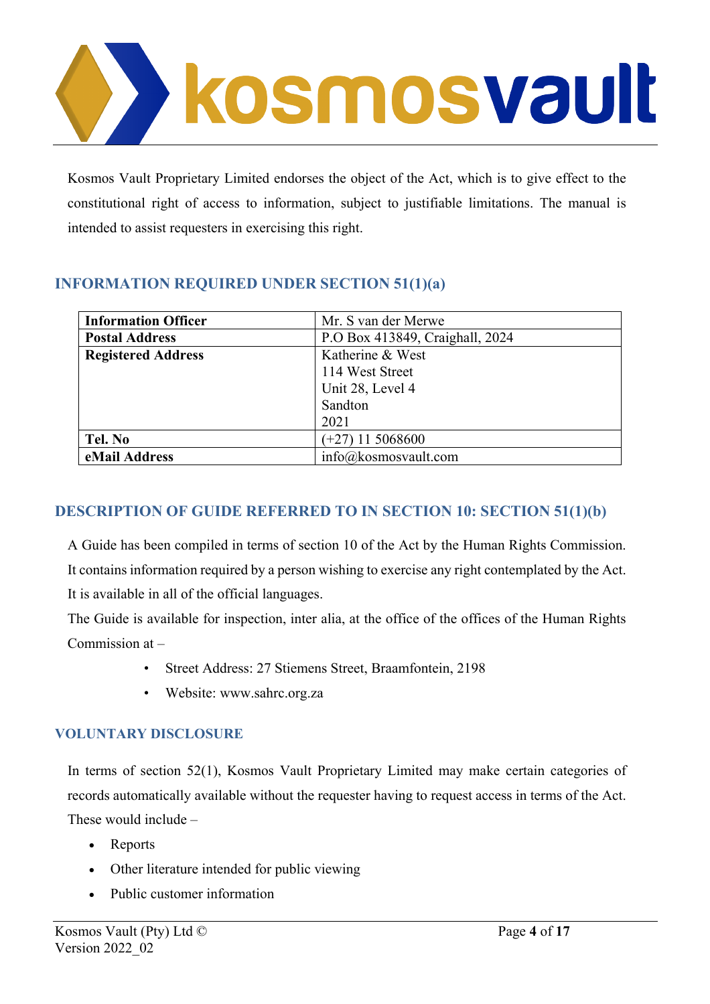

Kosmos Vault Proprietary Limited endorses the object of the Act, which is to give effect to the constitutional right of access to information, subject to justifiable limitations. The manual is intended to assist requesters in exercising this right.

## **INFORMATION REQUIRED UNDER SECTION 51(1)(a)**

| <b>Information Officer</b> | Mr. S van der Merwe             |
|----------------------------|---------------------------------|
| <b>Postal Address</b>      | P.O Box 413849, Craighall, 2024 |
| <b>Registered Address</b>  | Katherine & West                |
|                            | 114 West Street                 |
|                            | Unit 28, Level 4                |
|                            | Sandton                         |
|                            | 2021                            |
| Tel. No                    | $(+27)$ 11 5068600              |
| eMail Address              | info@kosmosvault.com            |

## **DESCRIPTION OF GUIDE REFERRED TO IN SECTION 10: SECTION 51(1)(b)**

A Guide has been compiled in terms of section 10 of the Act by the Human Rights Commission. It contains information required by a person wishing to exercise any right contemplated by the Act. It is available in all of the official languages.

The Guide is available for inspection, inter alia, at the office of the offices of the Human Rights Commission at –

- Street Address: 27 Stiemens Street, Braamfontein, 2198
- Website: [www.sahrc.org.za](http://www.sahrc.org.za/)

### **VOLUNTARY DISCLOSURE**

In terms of section 52(1), Kosmos Vault Proprietary Limited may make certain categories of records automatically available without the requester having to request access in terms of the Act. These would include –

- Reports
- Other literature intended for public viewing
- Public customer information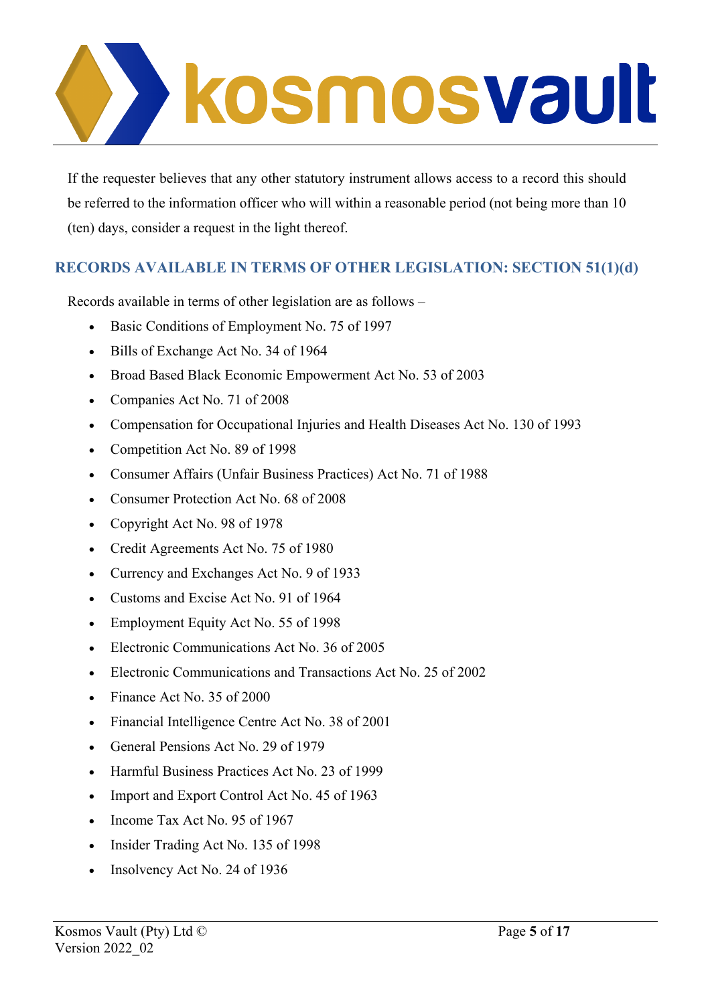

If the requester believes that any other statutory instrument allows access to a record this should be referred to the information officer who will within a reasonable period (not being more than 10 (ten) days, consider a request in the light thereof.

## **RECORDS AVAILABLE IN TERMS OF OTHER LEGISLATION: SECTION 51(1)(d)**

Records available in terms of other legislation are as follows –

- Basic Conditions of Employment No. 75 of 1997
- Bills of Exchange Act No. 34 of 1964
- Broad Based Black Economic Empowerment Act No. 53 of 2003
- Companies Act No. 71 of 2008
- Compensation for Occupational Injuries and Health Diseases Act No. 130 of 1993
- Competition Act No. 89 of 1998
- Consumer Affairs (Unfair Business Practices) Act No. 71 of 1988
- Consumer Protection Act No. 68 of 2008
- Copyright Act No. 98 of 1978
- Credit Agreements Act No. 75 of 1980
- Currency and Exchanges Act No. 9 of 1933
- Customs and Excise Act No. 91 of 1964
- Employment Equity Act No. 55 of 1998
- Electronic Communications Act No. 36 of 2005
- Electronic Communications and Transactions Act No. 25 of 2002
- Finance Act No. 35 of 2000
- Financial Intelligence Centre Act No. 38 of 2001
- General Pensions Act No. 29 of 1979
- Harmful Business Practices Act No. 23 of 1999
- Import and Export Control Act No. 45 of 1963
- Income Tax Act No. 95 of 1967
- Insider Trading Act No. 135 of 1998
- Insolvency Act No. 24 of 1936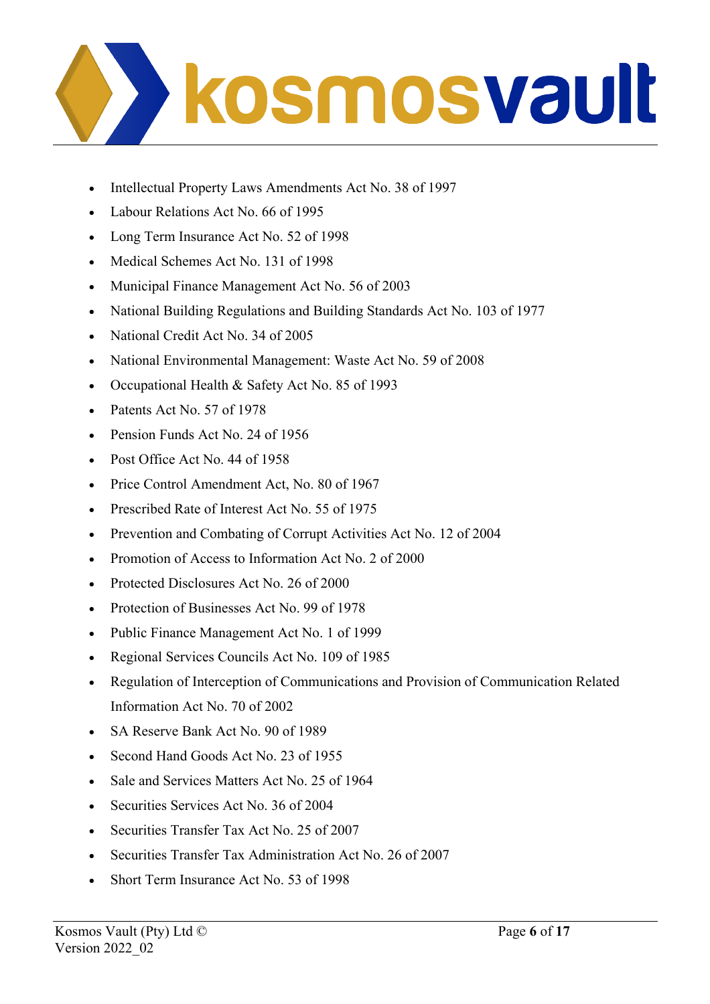

- Intellectual Property Laws Amendments Act No. 38 of 1997
- Labour Relations Act No. 66 of 1995
- Long Term Insurance Act No. 52 of 1998
- Medical Schemes Act No. 131 of 1998
- Municipal Finance Management Act No. 56 of 2003
- National Building Regulations and Building Standards Act No. 103 of 1977
- National Credit Act No. 34 of 2005
- National Environmental Management: Waste Act No. 59 of 2008
- Occupational Health & Safety Act No. 85 of 1993
- Patents Act No. 57 of 1978
- Pension Funds Act No. 24 of 1956
- Post Office Act No. 44 of 1958
- Price Control Amendment Act, No. 80 of 1967
- Prescribed Rate of Interest Act No. 55 of 1975
- Prevention and Combating of Corrupt Activities Act No. 12 of 2004
- Promotion of Access to Information Act No. 2 of 2000
- Protected Disclosures Act No. 26 of 2000
- Protection of Businesses Act No. 99 of 1978
- Public Finance Management Act No. 1 of 1999
- Regional Services Councils Act No. 109 of 1985
- Regulation of Interception of Communications and Provision of Communication Related Information Act No. 70 of 2002
- SA Reserve Bank Act No. 90 of 1989
- Second Hand Goods Act No. 23 of 1955
- Sale and Services Matters Act No. 25 of 1964
- Securities Services Act No. 36 of 2004
- Securities Transfer Tax Act No. 25 of 2007
- Securities Transfer Tax Administration Act No. 26 of 2007
- Short Term Insurance Act No. 53 of 1998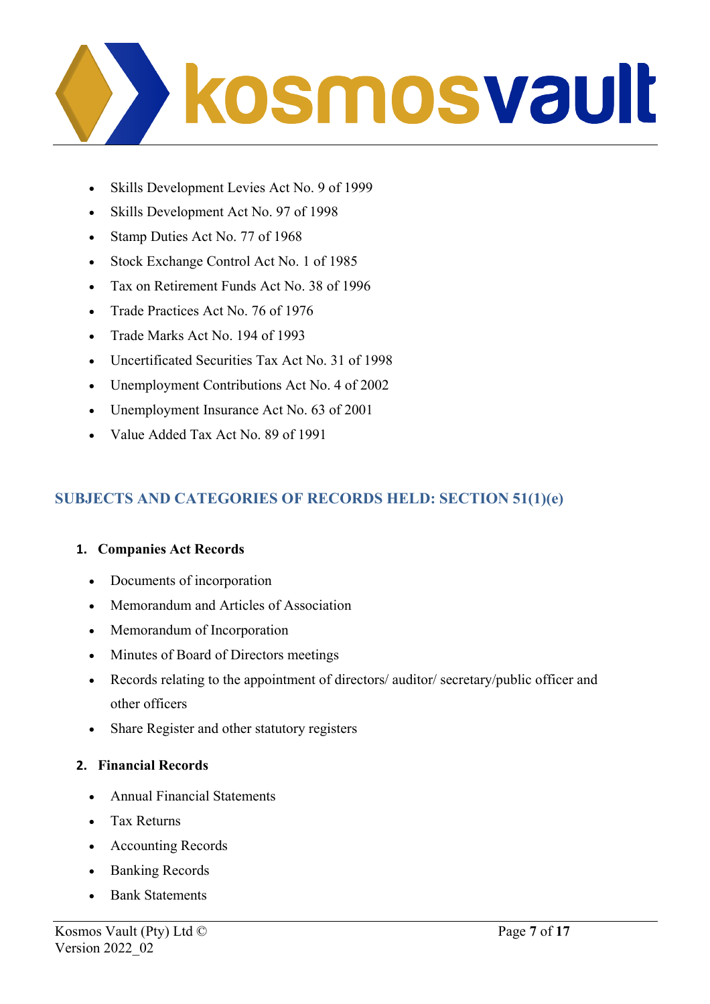

- Skills Development Levies Act No. 9 of 1999
- Skills Development Act No. 97 of 1998
- Stamp Duties Act No. 77 of 1968
- Stock Exchange Control Act No. 1 of 1985
- Tax on Retirement Funds Act No. 38 of 1996
- Trade Practices Act No. 76 of 1976
- Trade Marks Act No. 194 of 1993
- Uncertificated Securities Tax Act No. 31 of 1998
- Unemployment Contributions Act No. 4 of 2002
- Unemployment Insurance Act No. 63 of 2001
- Value Added Tax Act No. 89 of 1991

## **SUBJECTS AND CATEGORIES OF RECORDS HELD: SECTION 51(1)(e)**

#### **1. Companies Act Records**

- Documents of incorporation
- Memorandum and Articles of Association
- Memorandum of Incorporation
- Minutes of Board of Directors meetings
- Records relating to the appointment of directors/ auditor/ secretary/public officer and other officers
- Share Register and other statutory registers

#### **2. Financial Records**

- Annual Financial Statements
- Tax Returns
- Accounting Records
- Banking Records
- Bank Statements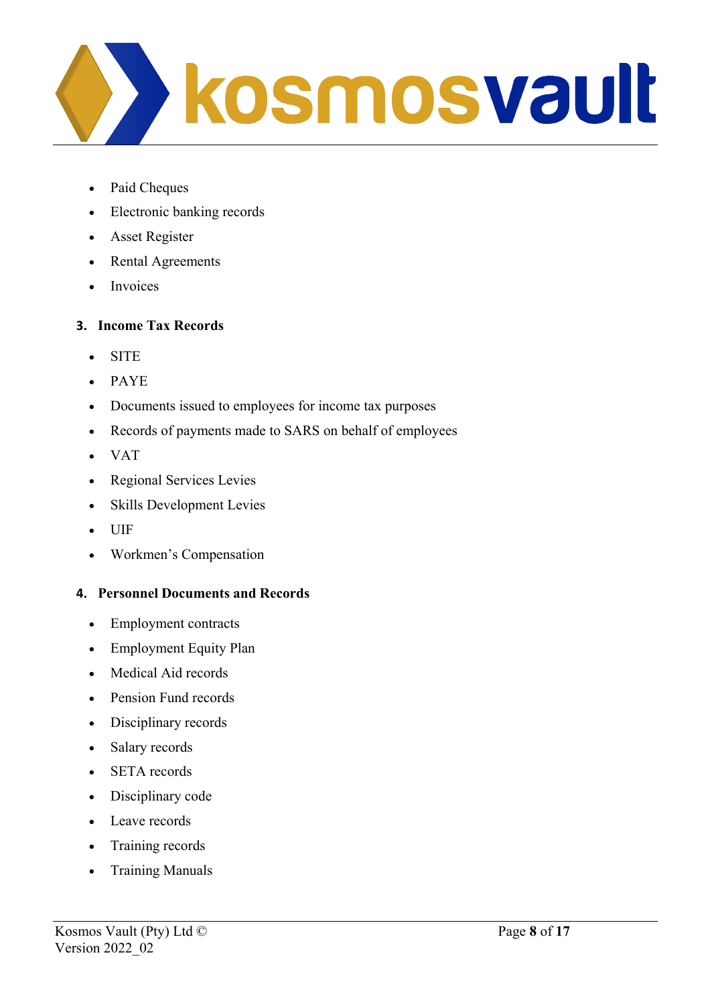

- Paid Cheques
- Electronic banking records
- Asset Register
- Rental Agreements
- Invoices

#### **3. Income Tax Records**

- SITE
- PAYE
- Documents issued to employees for income tax purposes
- Records of payments made to SARS on behalf of employees
- VAT
- Regional Services Levies
- Skills Development Levies
- UIF
- Workmen's Compensation

#### **4. Personnel Documents and Records**

- Employment contracts
- Employment Equity Plan
- Medical Aid records
- Pension Fund records
- Disciplinary records
- Salary records
- **SETA** records
- Disciplinary code
- Leave records
- Training records
- Training Manuals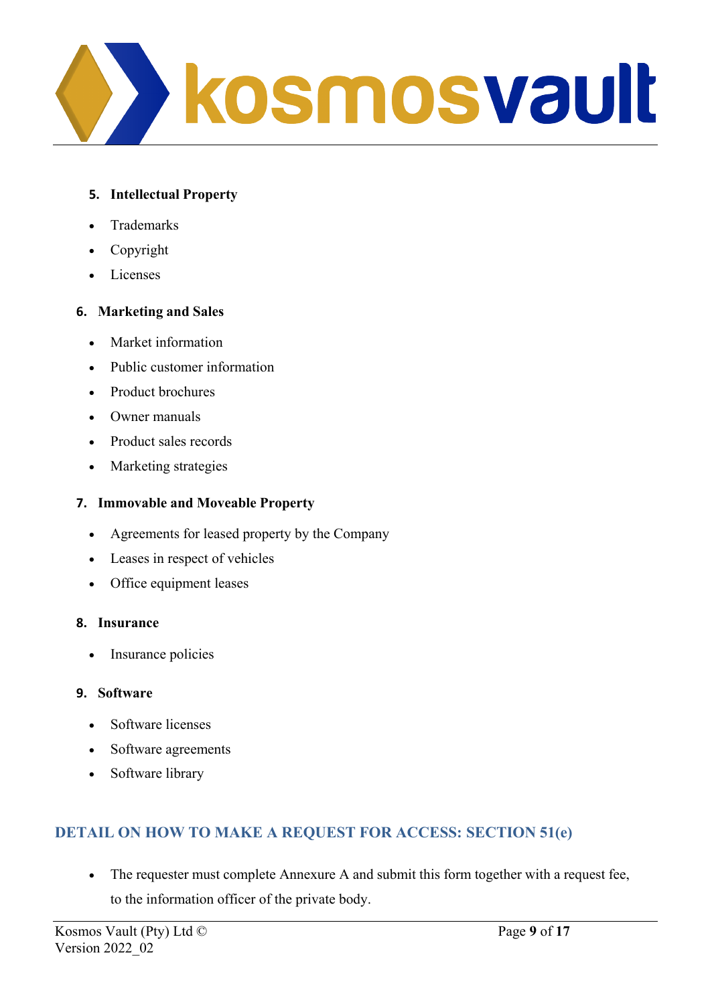

#### **5. Intellectual Property**

- **Trademarks**
- **Copyright**
- Licenses

#### **6. Marketing and Sales**

- Market information
- Public customer information
- Product brochures
- Owner manuals
- Product sales records
- Marketing strategies

#### **7. Immovable and Moveable Property**

- Agreements for leased property by the Company
- Leases in respect of vehicles
- Office equipment leases

#### **8. Insurance**

• Insurance policies

### **9. Software**

- Software licenses
- Software agreements
- Software library

## **DETAIL ON HOW TO MAKE A REQUEST FOR ACCESS: SECTION 51(e)**

• The requester must complete Annexure A and submit this form together with a request fee, to the information officer of the private body.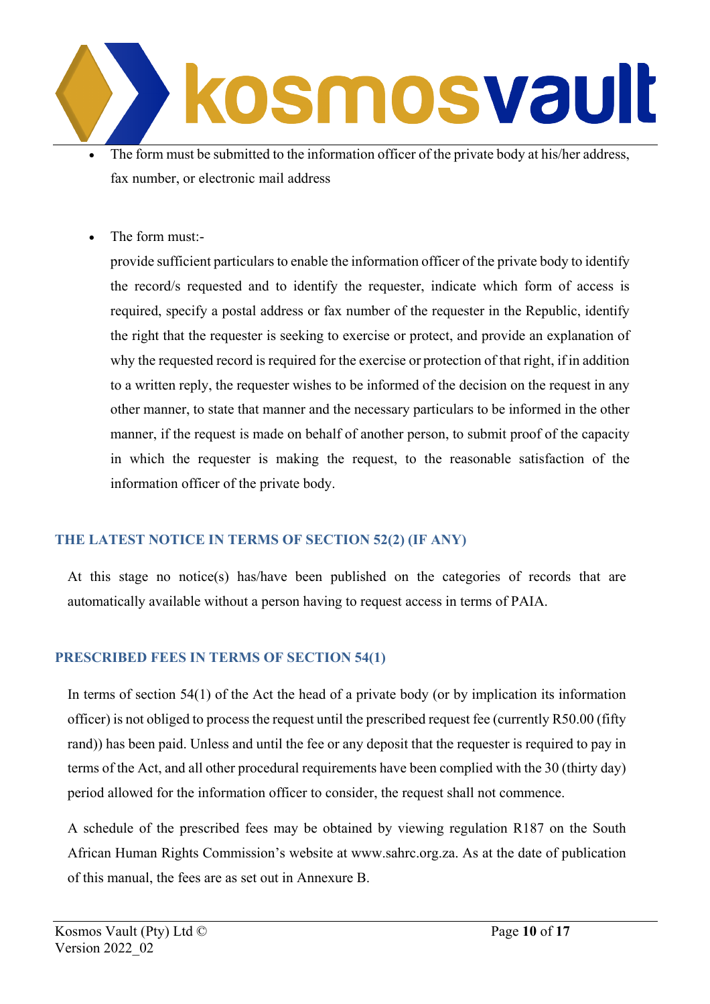

- The form must be submitted to the information officer of the private body at his/her address, fax number, or electronic mail address
- The form must:-

provide sufficient particulars to enable the information officer of the private body to identify the record/s requested and to identify the requester, indicate which form of access is required, specify a postal address or fax number of the requester in the Republic, identify the right that the requester is seeking to exercise or protect, and provide an explanation of why the requested record is required for the exercise or protection of that right, if in addition to a written reply, the requester wishes to be informed of the decision on the request in any other manner, to state that manner and the necessary particulars to be informed in the other manner, if the request is made on behalf of another person, to submit proof of the capacity in which the requester is making the request, to the reasonable satisfaction of the information officer of the private body.

### **THE LATEST NOTICE IN TERMS OF SECTION 52(2) (IF ANY)**

At this stage no notice(s) has/have been published on the categories of records that are automatically available without a person having to request access in terms of PAIA.

### **PRESCRIBED FEES IN TERMS OF SECTION 54(1)**

In terms of section 54(1) of the Act the head of a private body (or by implication its information officer) is not obliged to process the request until the prescribed request fee (currently R50.00 (fifty rand)) has been paid. Unless and until the fee or any deposit that the requester is required to pay in terms of the Act, and all other procedural requirements have been complied with the 30 (thirty day) period allowed for the information officer to consider, the request shall not commence.

A schedule of the prescribed fees may be obtained by viewing regulation R187 on the South African Human Rights Commission's website at [www.sahrc.org.za.](http://www.sahrc.org.za/) As at the date of publication of this manual, the fees are as set out in Annexure B.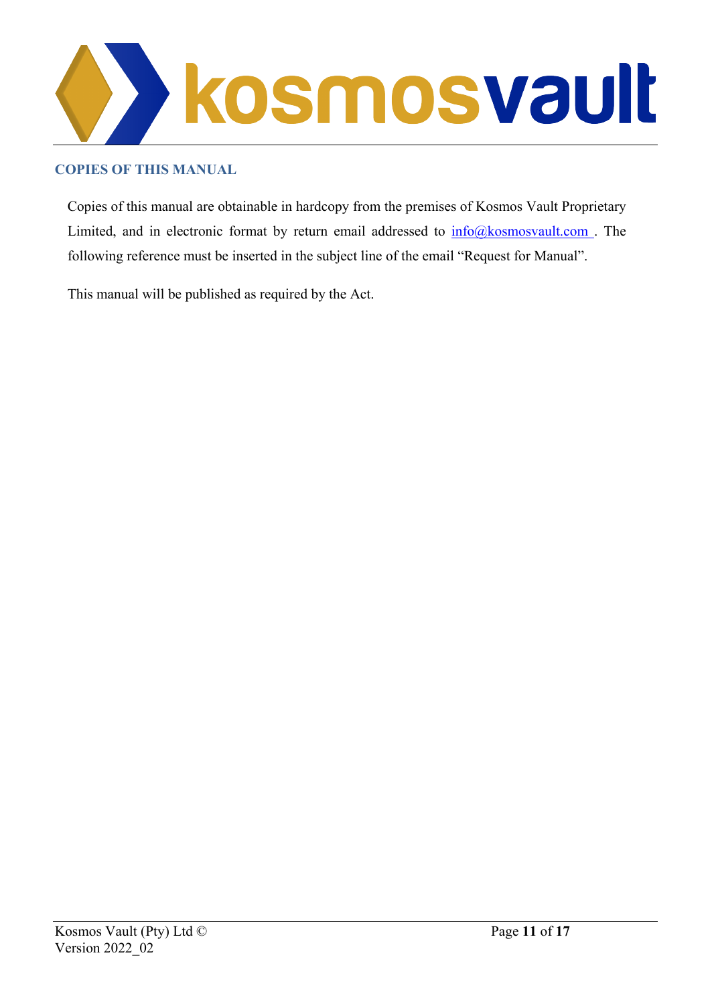

### **COPIES OF THIS MANUAL**

Copies of this manual are obtainable in hardcopy from the premises of Kosmos Vault Proprietary Limited, and in electronic format by return email addressed to  $info@kosmosvault.com$ . The following reference must be inserted in the subject line of the email "Request for Manual".

This manual will be published as required by the Act.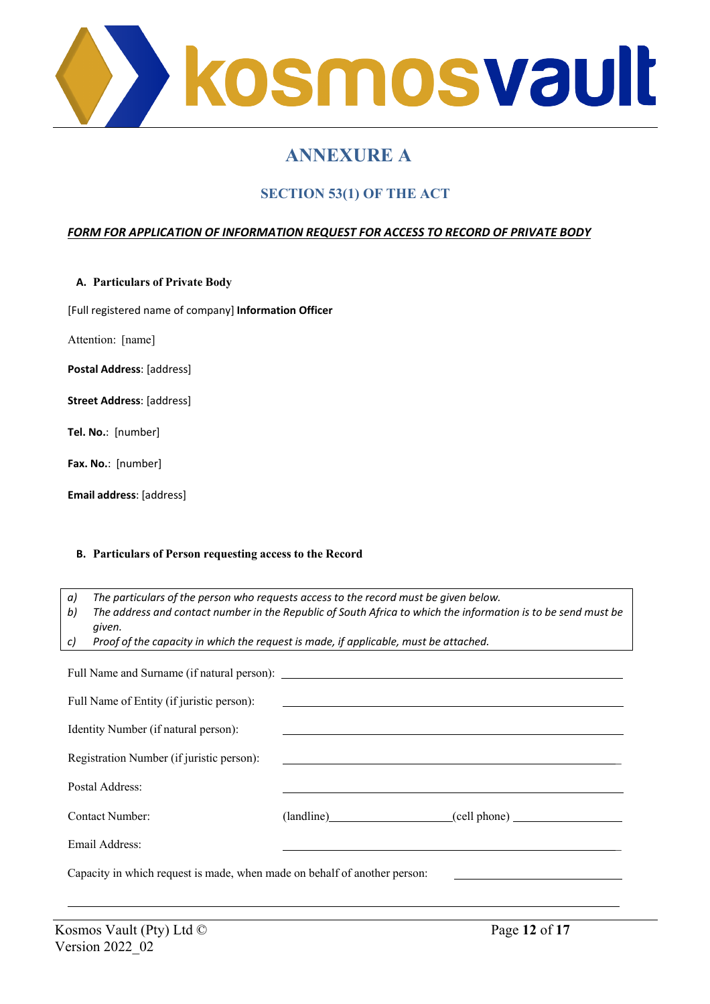

# **ANNEXURE A**

## **SECTION 53(1) OF THE ACT**

#### *FORM FOR APPLICATION OF INFORMATION REQUEST FOR ACCESS TO RECORD OF PRIVATE BODY*

**A. Particulars of Private Body**

[Full registered name of company] **Information Officer**

Attention: [name]

**Postal Address**: [address]

**Street Address**: [address]

**Tel. No.**: [number]

**Fax. No.**: [number]

**Email address**: [address]

#### **B. Particulars of Person requesting access to the Record**

*a) The particulars of the person who requests access to the record must be given below.*

*b) The address and contact number in the Republic of South Africa to which the information is to be send must be given.*

*c) Proof of the capacity in which the request is made, if applicable, must be attached.*

| Full Name of Entity (if juristic person):                                 |                                                                                                                        |                         |  |  |  |
|---------------------------------------------------------------------------|------------------------------------------------------------------------------------------------------------------------|-------------------------|--|--|--|
| Identity Number (if natural person):                                      |                                                                                                                        |                         |  |  |  |
| Registration Number (if juristic person):                                 | <u> 1989 - Johann Harry Barn, mars and deutscher Stadt and deutscher Stadt and deutscher Stadt and deutscher Stadt</u> |                         |  |  |  |
| Postal Address:                                                           |                                                                                                                        |                         |  |  |  |
| Contact Number:                                                           |                                                                                                                        | (landline) (cell phone) |  |  |  |
| Email Address:                                                            |                                                                                                                        |                         |  |  |  |
| Capacity in which request is made, when made on behalf of another person: |                                                                                                                        |                         |  |  |  |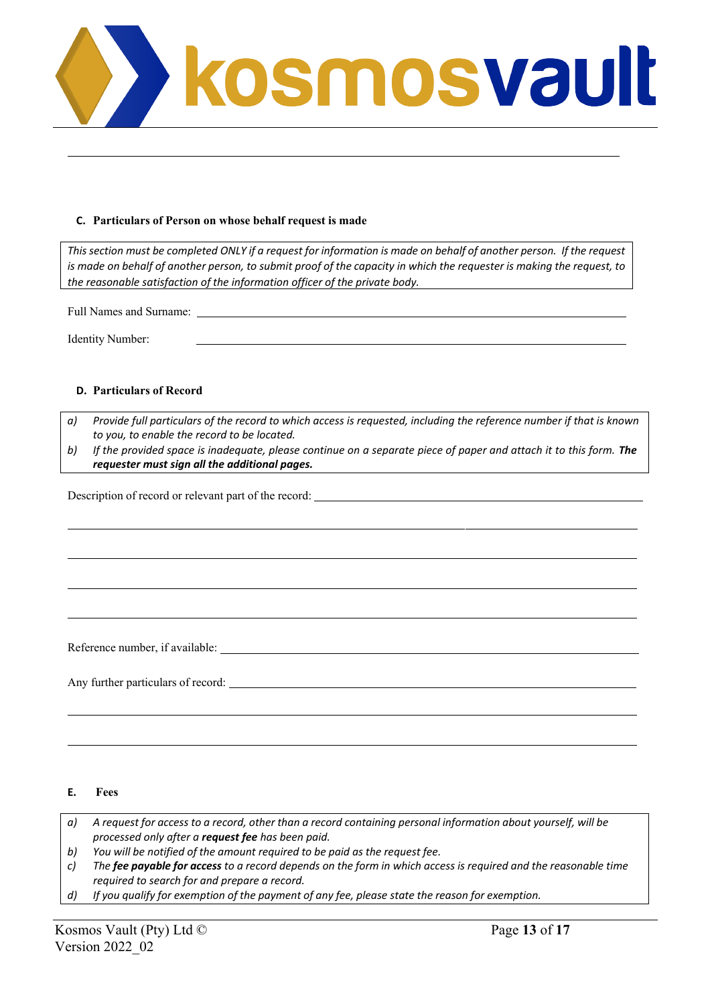

#### **C. Particulars of Person on whose behalf request is made**

This section must be completed ONLY if a request for information is made on behalf of another person. If the request is made on behalf of another person, to submit proof of the capacity in which the requester is making the request, to *the reasonable satisfaction of the information officer of the private body.*

Full Names and Surname:

Identity Number:

#### **D. Particulars of Record**

- *a) Provide full particulars of the record to which access is requested, including the reference number if that is known to you, to enable the record to be located.*
- b) If the provided space is inadequate, please continue on a separate piece of paper and attach it to this form. The *requester must sign all the additional pages.*

Description of record or relevant part of the record:

Reference number, if available:

Any further particulars of record:

#### **E. Fees**

a) A request for access to a record, other than a record containing personal information about yourself, will be *processed only after a request fee has been paid.*

*b) You will be notified of the amount required to be paid as the request fee.*

*c) The fee payable for access to a record depends on the form in which access is required and the reasonable time required to search for and prepare a record.*

*d) If you qualify for exemption of the payment of any fee, please state the reason for exemption.*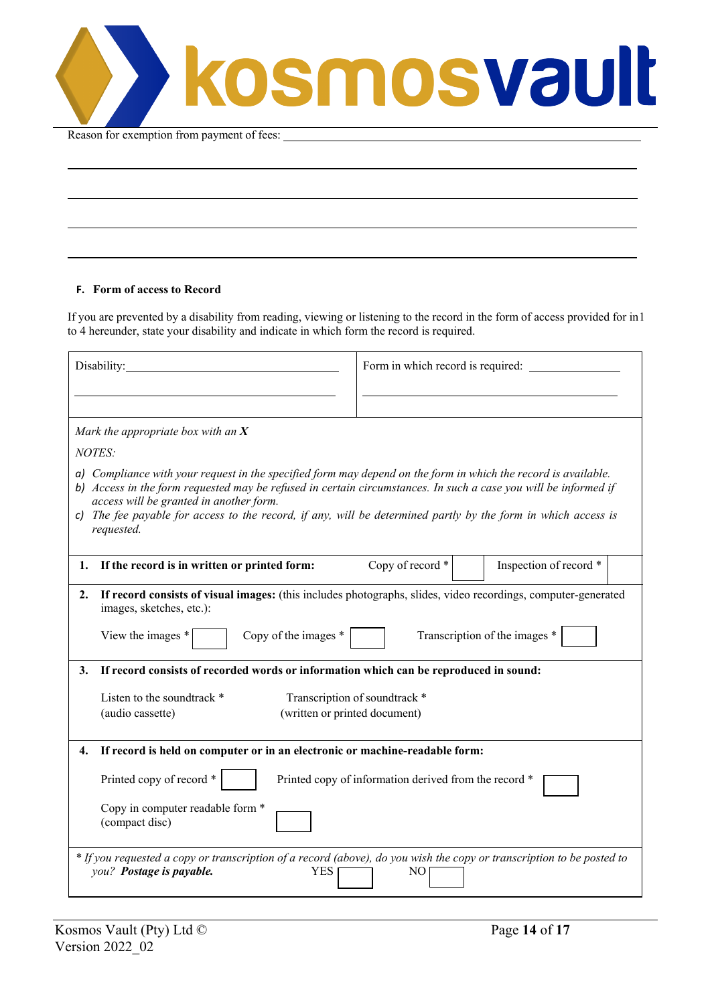kosmosvault

Reason for exemption from payment of fees:

#### **F. Form of access to Record**

If you are prevented by a disability from reading, viewing or listening to the record in the form of access provided for in 1 to 4 hereunder, state your disability and indicate in which form the record is required.

| Disability:                                                                                                                                                                                                                                                                                                                                                                                                 | Form in which record is required:                     |  |  |  |  |  |
|-------------------------------------------------------------------------------------------------------------------------------------------------------------------------------------------------------------------------------------------------------------------------------------------------------------------------------------------------------------------------------------------------------------|-------------------------------------------------------|--|--|--|--|--|
|                                                                                                                                                                                                                                                                                                                                                                                                             |                                                       |  |  |  |  |  |
| Mark the appropriate box with an $X$                                                                                                                                                                                                                                                                                                                                                                        |                                                       |  |  |  |  |  |
| <b>NOTES:</b>                                                                                                                                                                                                                                                                                                                                                                                               |                                                       |  |  |  |  |  |
| a) Compliance with your request in the specified form may depend on the form in which the record is available.<br>b) Access in the form requested may be refused in certain circumstances. In such a case you will be informed if<br>access will be granted in another form.<br>c) The fee payable for access to the record, if any, will be determined partly by the form in which access is<br>requested. |                                                       |  |  |  |  |  |
| If the record is in written or printed form:<br>1.                                                                                                                                                                                                                                                                                                                                                          | Copy of record *<br>Inspection of record *            |  |  |  |  |  |
| If record consists of visual images: (this includes photographs, slides, video recordings, computer-generated<br>2.<br>images, sketches, etc.):<br>Copy of the images $*$<br>Transcription of the images *<br>View the images $*$                                                                                                                                                                           |                                                       |  |  |  |  |  |
| If record consists of recorded words or information which can be reproduced in sound:<br>3.                                                                                                                                                                                                                                                                                                                 |                                                       |  |  |  |  |  |
| Listen to the soundtrack *<br>(written or printed document)<br>(audio cassette)                                                                                                                                                                                                                                                                                                                             | Transcription of soundtrack *                         |  |  |  |  |  |
| If record is held on computer or in an electronic or machine-readable form:<br>4.                                                                                                                                                                                                                                                                                                                           |                                                       |  |  |  |  |  |
| Printed copy of record *                                                                                                                                                                                                                                                                                                                                                                                    | Printed copy of information derived from the record * |  |  |  |  |  |
| Copy in computer readable form *<br>(compact disc)                                                                                                                                                                                                                                                                                                                                                          |                                                       |  |  |  |  |  |
| * If you requested a copy or transcription of a record (above), do you wish the copy or transcription to be posted to<br>you? Postage is payable.<br><b>YES</b><br>NO.                                                                                                                                                                                                                                      |                                                       |  |  |  |  |  |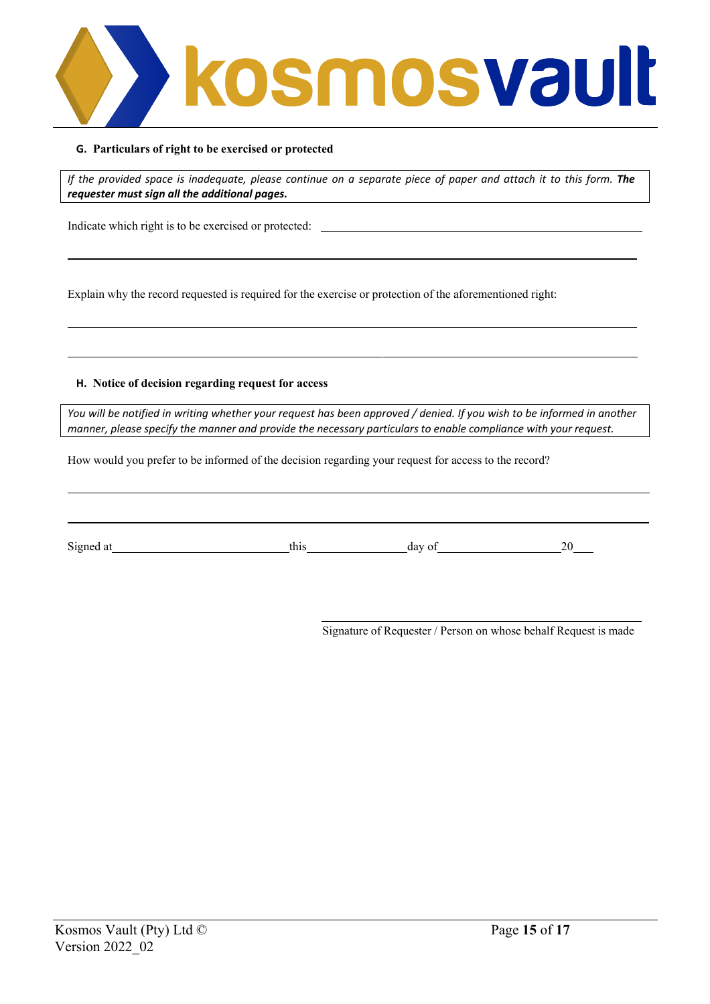

#### **G. Particulars of right to be exercised or protected**

If the provided space is inadequate, please continue on a separate piece of paper and attach it to this form. The *requester must sign all the additional pages.*

Indicate which right is to be exercised or protected:

Explain why the record requested is required for the exercise or protection of the aforementioned right:

#### **H. Notice of decision regarding request for access**

You will be notified in writing whether your request has been approved / denied. If you wish to be informed in another *manner, please specify the manner and provide the necessary particulars to enable compliance with your request.*

How would you prefer to be informed of the decision regarding your request for access to the record?

Signed at this day of 20

Signature of Requester / Person on whose behalf Request is made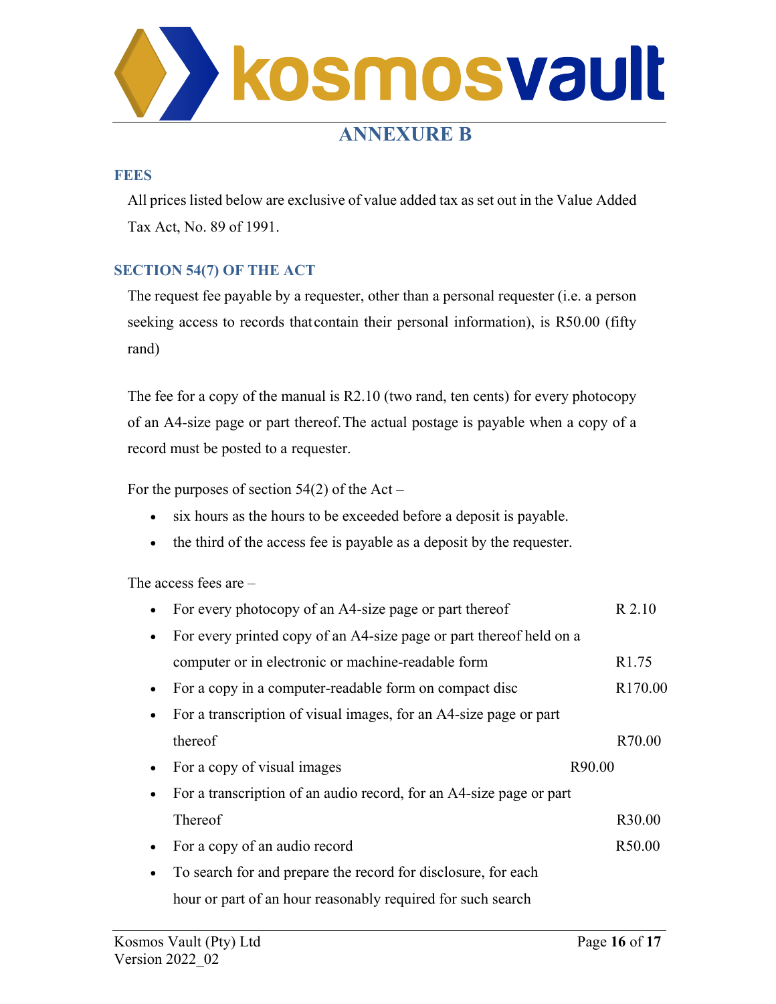

# **ANNEXURE B**

#### **FEES**

All prices listed below are exclusive of value added tax as set out in the Value Added Tax Act, No. 89 of 1991.

#### **SECTION 54(7) OF THE ACT**

The request fee payable by a requester, other than a personal requester (i.e. a person seeking access to records that contain their personal information), is R50.00 (fifty rand)

The fee for a copy of the manual is R2.10 (two rand, ten cents) for every photocopy of an A4-size page or part thereof.The actual postage is payable when a copy of a record must be posted to a requester.

For the purposes of section  $54(2)$  of the Act –

- six hours as the hours to be exceeded before a deposit is payable.
- the third of the access fee is payable as a deposit by the requester.

The access fees are –

| For every photocopy of an A4-size page or part thereof              | R 2.10              |
|---------------------------------------------------------------------|---------------------|
| For every printed copy of an A4-size page or part thereof held on a |                     |
| computer or in electronic or machine-readable form                  | R <sub>1.75</sub>   |
| For a copy in a computer-readable form on compact disc              | R <sub>170.00</sub> |
| For a transcription of visual images, for an A4-size page or part   |                     |
| thereof                                                             | R70.00              |
| For a copy of visual images                                         | R90.00              |
| For a transcription of an audio record, for an A4-size page or part |                     |
| Thereof                                                             | R30.00              |
| For a copy of an audio record                                       | R50.00              |
| To search for and prepare the record for disclosure, for each       |                     |
| hour or part of an hour reasonably required for such search         |                     |